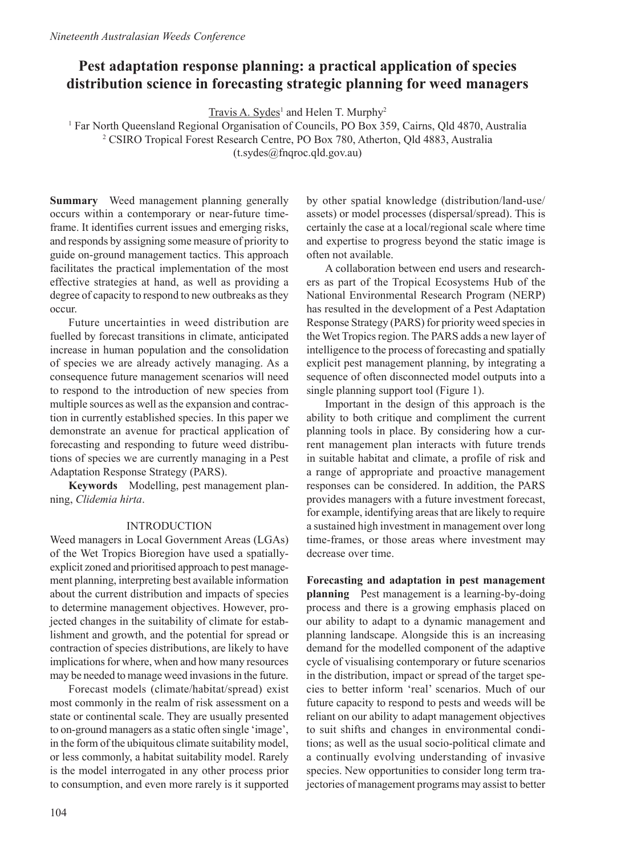# **Pest adaptation response planning: a practical application of species distribution science in forecasting strategic planning for weed managers**

 $Travis A. Sydes<sup>1</sup>$  and Helen T. Murphy<sup>2</sup>

1 Far North Queensland Regional Organisation of Councils, PO Box 359, Cairns, Qld 4870, Australia 2 CSIRO Tropical Forest Research Centre, PO Box 780, Atherton, Qld 4883, Australia (t.sydes@fnqroc.qld.gov.au)

**Summary** Weed management planning generally occurs within a contemporary or near-future timeframe. It identifies current issues and emerging risks, and responds by assigning some measure of priority to guide on-ground management tactics. This approach facilitates the practical implementation of the most effective strategies at hand, as well as providing a degree of capacity to respond to new outbreaks as they occur.

Future uncertainties in weed distribution are fuelled by forecast transitions in climate, anticipated increase in human population and the consolidation of species we are already actively managing. As a consequence future management scenarios will need to respond to the introduction of new species from multiple sources as well as the expansion and contraction in currently established species. In this paper we demonstrate an avenue for practical application of forecasting and responding to future weed distributions of species we are currently managing in a Pest Adaptation Response Strategy (PARS).

**Keywords** Modelling, pest management planning, *Clidemia hirta*.

### INTRODUCTION

Weed managers in Local Government Areas (LGAs) of the Wet Tropics Bioregion have used a spatiallyexplicit zoned and prioritised approach to pest management planning, interpreting best available information about the current distribution and impacts of species to determine management objectives. However, projected changes in the suitability of climate for establishment and growth, and the potential for spread or contraction of species distributions, are likely to have implications for where, when and how many resources may be needed to manage weed invasions in the future.

Forecast models (climate/habitat/spread) exist most commonly in the realm of risk assessment on a state or continental scale. They are usually presented to on-ground managers as a static often single 'image', in the form of the ubiquitous climate suitability model, or less commonly, a habitat suitability model. Rarely is the model interrogated in any other process prior to consumption, and even more rarely is it supported by other spatial knowledge (distribution/land-use/ assets) or model processes (dispersal/spread). This is certainly the case at a local/regional scale where time and expertise to progress beyond the static image is often not available.

A collaboration between end users and researchers as part of the Tropical Ecosystems Hub of the National Environmental Research Program (NERP) has resulted in the development of a Pest Adaptation Response Strategy (PARS) for priority weed species in the Wet Tropics region. The PARS adds a new layer of intelligence to the process of forecasting and spatially explicit pest management planning, by integrating a sequence of often disconnected model outputs into a single planning support tool (Figure 1).

Important in the design of this approach is the ability to both critique and compliment the current planning tools in place. By considering how a current management plan interacts with future trends in suitable habitat and climate, a profile of risk and a range of appropriate and proactive management responses can be considered. In addition, the PARS provides managers with a future investment forecast, for example, identifying areas that are likely to require a sustained high investment in management over long time-frames, or those areas where investment may decrease over time.

**Forecasting and adaptation in pest management planning** Pest management is a learning-by-doing process and there is a growing emphasis placed on our ability to adapt to a dynamic management and planning landscape. Alongside this is an increasing demand for the modelled component of the adaptive cycle of visualising contemporary or future scenarios in the distribution, impact or spread of the target species to better inform 'real' scenarios. Much of our future capacity to respond to pests and weeds will be reliant on our ability to adapt management objectives to suit shifts and changes in environmental conditions; as well as the usual socio-political climate and a continually evolving understanding of invasive species. New opportunities to consider long term trajectories of management programs may assist to better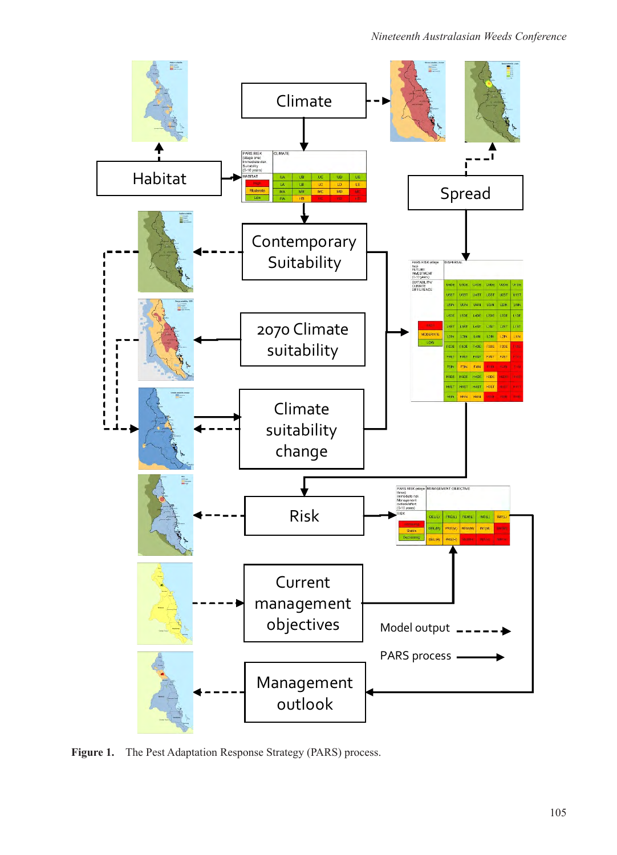

**Figure 1.** The Pest Adaptation Response Strategy (PARS) process.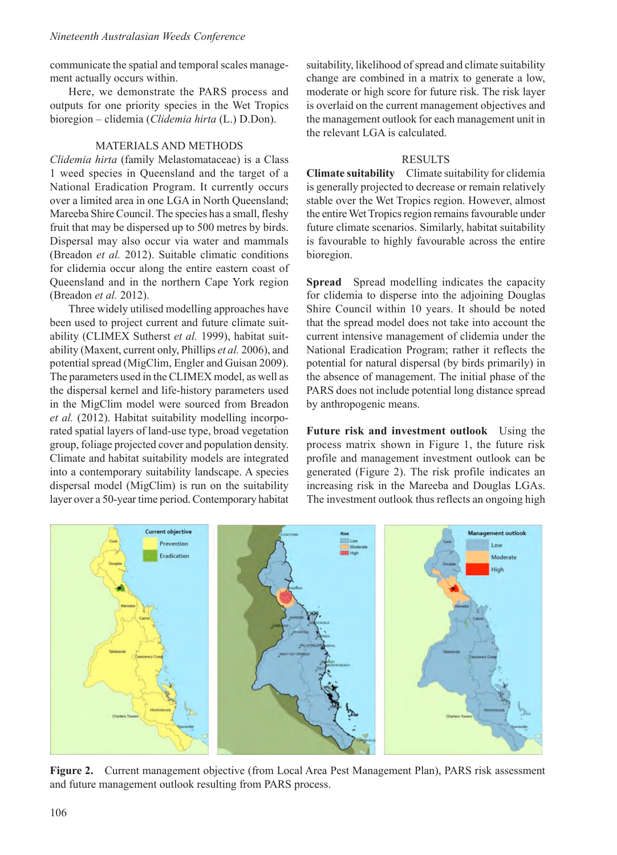#### *Nineteenth Australasian Weeds Conference*

communicate the spatial and temporal scales management actually occurs within.

Here, we demonstrate the PARS process and outputs for one priority species in the Wet Tropics bioregion – clidemia (*Clidemia hirta* (L.) D.Don).

#### MATERIALS AND METHODS

*Clidemia hirta* (family Melastomataceae) is a Class 1 weed species in Queensland and the target of a National Eradication Program. It currently occurs over a limited area in one LGA in North Queensland; Mareeba Shire Council. The species has a small, fleshy fruit that may be dispersed up to 500 metres by birds. Dispersal may also occur via water and mammals (Breadon *et al.* 2012). Suitable climatic conditions for clidemia occur along the entire eastern coast of Queensland and in the northern Cape York region (Breadon *et al.* 2012).

Three widely utilised modelling approaches have been used to project current and future climate suitability (CLIMEX Sutherst *et al.* 1999), habitat suitability (Maxent, current only, Phillips *et al.* 2006), and potential spread (MigClim, Engler and Guisan 2009). The parameters used in the CLIMEX model, as well as the dispersal kernel and life-history parameters used in the MigClim model were sourced from Breadon *et al.* (2012). Habitat suitability modelling incorporated spatial layers of land-use type, broad vegetation group, foliage projected cover and population density. Climate and habitat suitability models are integrated into a contemporary suitability landscape. A species dispersal model (MigClim) is run on the suitability layer over a 50-year time period. Contemporary habitat

suitability, likelihood of spread and climate suitability change are combined in a matrix to generate a low, moderate or high score for future risk. The risk layer is overlaid on the current management objectives and the management outlook for each management unit in the relevant LGA is calculated.

#### RESULTS

**Climate suitability** Climate suitability for clidemia is generally projected to decrease or remain relatively stable over the Wet Tropics region. However, almost the entire Wet Tropics region remains favourable under future climate scenarios. Similarly, habitat suitability is favourable to highly favourable across the entire bioregion.

**Spread** Spread modelling indicates the capacity for clidemia to disperse into the adjoining Douglas Shire Council within 10 years. It should be noted that the spread model does not take into account the current intensive management of clidemia under the National Eradication Program; rather it reflects the potential for natural dispersal (by birds primarily) in the absence of management. The initial phase of the PARS does not include potential long distance spread by anthropogenic means.

**Future risk and investment outlook** Using the process matrix shown in Figure 1, the future risk profile and management investment outlook can be generated (Figure 2). The risk profile indicates an increasing risk in the Mareeba and Douglas LGAs. The investment outlook thus reflects an ongoing high



**Figure 2.** Current management objective (from Local Area Pest Management Plan), PARS risk assessment and future management outlook resulting from PARS process.